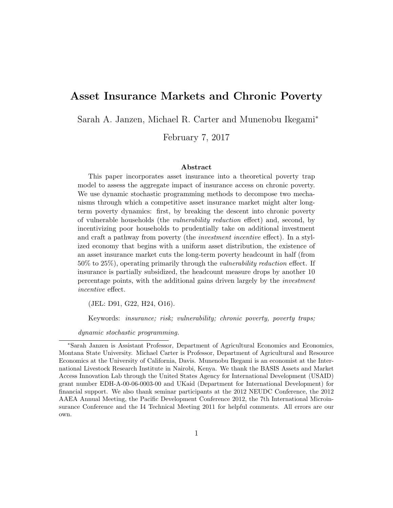### Asset Insurance Markets and Chronic Poverty

Sarah A. Janzen, Michael R. Carter and Munenobu Ikegami<sup>\*</sup>

February 7, 2017

### Abstract

This paper incorporates asset insurance into a theoretical poverty trap model to assess the aggregate impact of insurance access on chronic poverty. We use dynamic stochastic programming methods to decompose two mechanisms through which a competitive asset insurance market might alter longterm poverty dynamics: first, by breaking the descent into chronic poverty of vulnerable households (the *vulnerability reduction* effect) and, second, by incentivizing poor households to prudentially take on additional investment and craft a pathway from poverty (the *investment incentive* effect). In a stylized economy that begins with a uniform asset distribution, the existence of an asset insurance market cuts the long-term poverty headcount in half (from 50% to 25%), operating primarily through the *vulnerability reduction* effect. If insurance is partially subsidized, the headcount measure drops by another 10 percentage points, with the additional gains driven largely by the *investment incentive* effect.

(JEL: D91, G22, H24, O16).

Keywords: *insurance; risk; vulnerability; chronic poverty, poverty traps;*

*dynamic stochastic programming.*

<sup>⇤</sup>Sarah Janzen is Assistant Professor, Department of Agricultural Economics and Economics, Montana State University. Michael Carter is Professor, Department of Agricultural and Resource Economics at the University of California, Davis. Munenobu Ikegami is an economist at the International Livestock Research Institute in Nairobi, Kenya. We thank the BASIS Assets and Market Access Innovation Lab through the United States Agency for International Development (USAID) grant number EDH-A-00-06-0003-00 and UKaid (Department for International Development) for financial support. We also thank seminar participants at the 2012 NEUDC Conference, the 2012 AAEA Annual Meeting, the Pacific Development Conference 2012, the 7th International Microinsurance Conference and the I4 Technical Meeting 2011 for helpful comments. All errors are our own.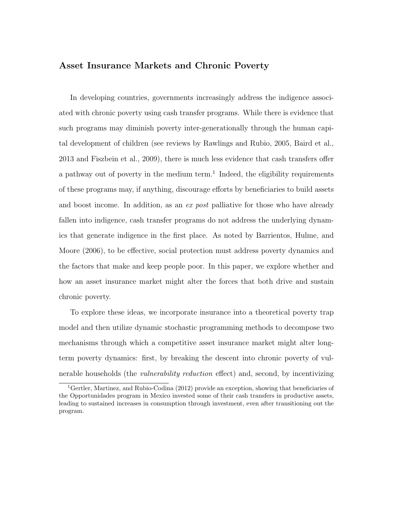### Asset Insurance Markets and Chronic Poverty

In developing countries, governments increasingly address the indigence associated with chronic poverty using cash transfer programs. While there is evidence that such programs may diminish poverty inter-generationally through the human capital development of children (see reviews by Rawlings and Rubio, 2005, Baird et al.,  $2013$  and Fiszbein et al.,  $2009$ ), there is much less evidence that cash transfers offer a pathway out of poverty in the medium term.<sup>1</sup> Indeed, the eligibility requirements of these programs may, if anything, discourage efforts by beneficiaries to build assets and boost income. In addition, as an *ex post* palliative for those who have already fallen into indigence, cash transfer programs do not address the underlying dynamics that generate indigence in the first place. As noted by Barrientos, Hulme, and Moore (2006), to be effective, social protection must address poverty dynamics and the factors that make and keep people poor. In this paper, we explore whether and how an asset insurance market might alter the forces that both drive and sustain chronic poverty.

To explore these ideas, we incorporate insurance into a theoretical poverty trap model and then utilize dynamic stochastic programming methods to decompose two mechanisms through which a competitive asset insurance market might alter longterm poverty dynamics: first, by breaking the descent into chronic poverty of vulnerable households (the *vulnerability reduction* effect) and, second, by incentivizing

<sup>&</sup>lt;sup>1</sup>Gertler, Martinez, and Rubio-Codina (2012) provide an exception, showing that beneficiaries of the Opportunidades program in Mexico invested some of their cash transfers in productive assets, leading to sustained increases in consumption through investment, even after transitioning out the program.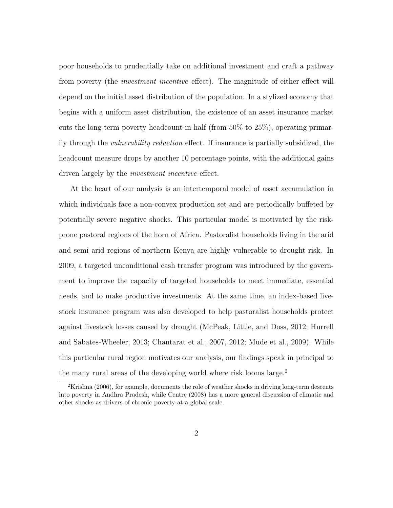poor households to prudentially take on additional investment and craft a pathway from poverty (the *investment incentive* effect). The magnitude of either effect will depend on the initial asset distribution of the population. In a stylized economy that begins with a uniform asset distribution, the existence of an asset insurance market cuts the long-term poverty headcount in half (from 50% to 25%), operating primarily through the *vulnerability reduction* effect. If insurance is partially subsidized, the headcount measure drops by another 10 percentage points, with the additional gains driven largely by the *investment incentive* effect.

At the heart of our analysis is an intertemporal model of asset accumulation in which individuals face a non-convex production set and are periodically buffeted by potentially severe negative shocks. This particular model is motivated by the riskprone pastoral regions of the horn of Africa. Pastoralist households living in the arid and semi arid regions of northern Kenya are highly vulnerable to drought risk. In 2009, a targeted unconditional cash transfer program was introduced by the government to improve the capacity of targeted households to meet immediate, essential needs, and to make productive investments. At the same time, an index-based livestock insurance program was also developed to help pastoralist households protect against livestock losses caused by drought (McPeak, Little, and Doss, 2012; Hurrell and Sabates-Wheeler, 2013; Chantarat et al., 2007, 2012; Mude et al., 2009). While this particular rural region motivates our analysis, our findings speak in principal to the many rural areas of the developing world where risk looms large.<sup>2</sup>

<sup>&</sup>lt;sup>2</sup>Krishna (2006), for example, documents the role of weather shocks in driving long-term descents into poverty in Andhra Pradesh, while Centre (2008) has a more general discussion of climatic and other shocks as drivers of chronic poverty at a global scale.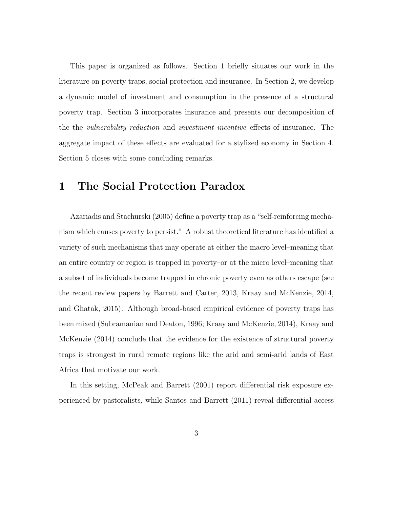This paper is organized as follows. Section 1 briefly situates our work in the literature on poverty traps, social protection and insurance. In Section 2, we develop a dynamic model of investment and consumption in the presence of a structural poverty trap. Section 3 incorporates insurance and presents our decomposition of the the *vulnerability* reduction and *investment incentive* effects of insurance. The aggregate impact of these effects are evaluated for a stylized economy in Section 4. Section 5 closes with some concluding remarks.

# 1 The Social Protection Paradox

Azariadis and Stachurski (2005) define a poverty trap as a "self-reinforcing mechanism which causes poverty to persist." A robust theoretical literature has identified a variety of such mechanisms that may operate at either the macro level–meaning that an entire country or region is trapped in poverty–or at the micro level–meaning that a subset of individuals become trapped in chronic poverty even as others escape (see the recent review papers by Barrett and Carter, 2013, Kraay and McKenzie, 2014, and Ghatak, 2015). Although broad-based empirical evidence of poverty traps has been mixed (Subramanian and Deaton, 1996; Kraay and McKenzie, 2014), Kraay and McKenzie (2014) conclude that the evidence for the existence of structural poverty traps is strongest in rural remote regions like the arid and semi-arid lands of East Africa that motivate our work.

In this setting, McPeak and Barrett  $(2001)$  report differential risk exposure experienced by pastoralists, while Santos and Barrett (2011) reveal differential access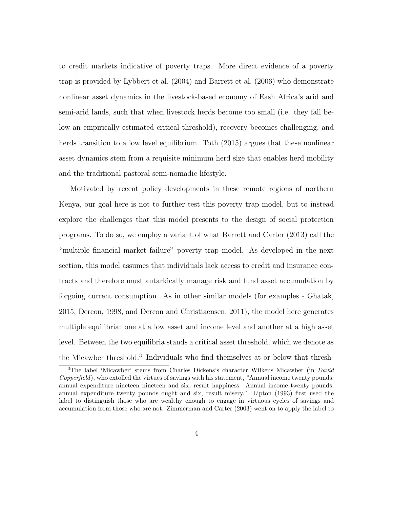to credit markets indicative of poverty traps. More direct evidence of a poverty trap is provided by Lybbert et al. (2004) and Barrett et al. (2006) who demonstrate nonlinear asset dynamics in the livestock-based economy of Eash Africa's arid and semi-arid lands, such that when livestock herds become too small (i.e. they fall below an empirically estimated critical threshold), recovery becomes challenging, and herds transition to a low level equilibrium. Toth (2015) argues that these nonlinear asset dynamics stem from a requisite minimum herd size that enables herd mobility and the traditional pastoral semi-nomadic lifestyle.

Motivated by recent policy developments in these remote regions of northern Kenya, our goal here is not to further test this poverty trap model, but to instead explore the challenges that this model presents to the design of social protection programs. To do so, we employ a variant of what Barrett and Carter (2013) call the "multiple financial market failure" poverty trap model. As developed in the next section, this model assumes that individuals lack access to credit and insurance contracts and therefore must autarkically manage risk and fund asset accumulation by forgoing current consumption. As in other similar models (for examples - Ghatak, 2015, Dercon, 1998, and Dercon and Christiaensen, 2011), the model here generates multiple equilibria: one at a low asset and income level and another at a high asset level. Between the two equilibria stands a critical asset threshold, which we denote as the Micawber threshold.<sup>3</sup> Individuals who find themselves at or below that thresh-

<sup>3</sup>The label 'Micawber' stems from Charles Dickens's character Wilkens Micawber (in *David Copperfield*), who extolled the virtues of savings with his statement, "Annual income twenty pounds, annual expenditure nineteen nineteen and six, result happiness. Annual income twenty pounds, annual expenditure twenty pounds ought and six, result misery." Lipton (1993) first used the label to distinguish those who are wealthy enough to engage in virtuous cycles of savings and accumulation from those who are not. Zimmerman and Carter (2003) went on to apply the label to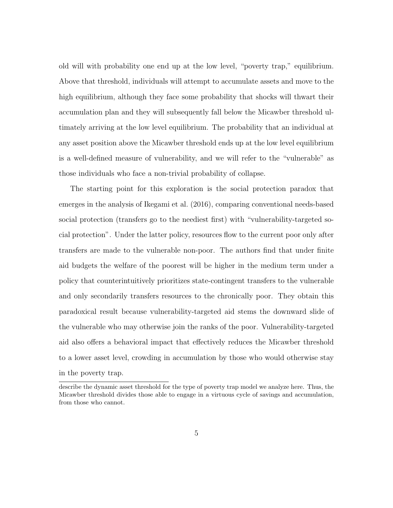old will with probability one end up at the low level, "poverty trap," equilibrium. Above that threshold, individuals will attempt to accumulate assets and move to the high equilibrium, although they face some probability that shocks will thwart their accumulation plan and they will subsequently fall below the Micawber threshold ultimately arriving at the low level equilibrium. The probability that an individual at any asset position above the Micawber threshold ends up at the low level equilibrium is a well-defined measure of vulnerability, and we will refer to the "vulnerable" as those individuals who face a non-trivial probability of collapse.

The starting point for this exploration is the social protection paradox that emerges in the analysis of Ikegami et al. (2016), comparing conventional needs-based social protection (transfers go to the neediest first) with "vulnerability-targeted social protection". Under the latter policy, resources flow to the current poor only after transfers are made to the vulnerable non-poor. The authors find that under finite aid budgets the welfare of the poorest will be higher in the medium term under a policy that counterintuitively prioritizes state-contingent transfers to the vulnerable and only secondarily transfers resources to the chronically poor. They obtain this paradoxical result because vulnerability-targeted aid stems the downward slide of the vulnerable who may otherwise join the ranks of the poor. Vulnerability-targeted aid also offers a behavioral impact that effectively reduces the Micawber threshold to a lower asset level, crowding in accumulation by those who would otherwise stay in the poverty trap.

describe the dynamic asset threshold for the type of poverty trap model we analyze here. Thus, the Micawber threshold divides those able to engage in a virtuous cycle of savings and accumulation, from those who cannot.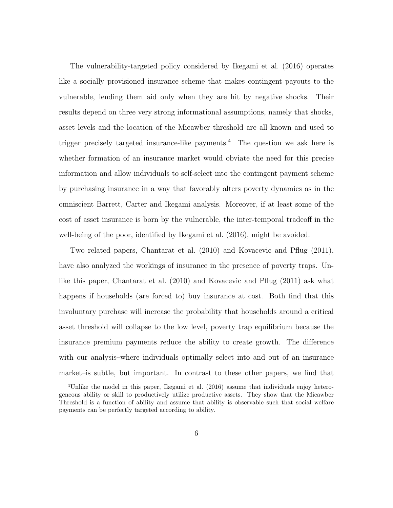The vulnerability-targeted policy considered by Ikegami et al. (2016) operates like a socially provisioned insurance scheme that makes contingent payouts to the vulnerable, lending them aid only when they are hit by negative shocks. Their results depend on three very strong informational assumptions, namely that shocks, asset levels and the location of the Micawber threshold are all known and used to trigger precisely targeted insurance-like payments.<sup>4</sup> The question we ask here is whether formation of an insurance market would obviate the need for this precise information and allow individuals to self-select into the contingent payment scheme by purchasing insurance in a way that favorably alters poverty dynamics as in the omniscient Barrett, Carter and Ikegami analysis. Moreover, if at least some of the cost of asset insurance is born by the vulnerable, the inter-temporal tradeoff in the well-being of the poor, identified by Ikegami et al. (2016), might be avoided.

Two related papers, Chantarat et al. (2010) and Kovacevic and Pflug (2011), have also analyzed the workings of insurance in the presence of poverty traps. Unlike this paper, Chantarat et al. (2010) and Kovacevic and Pflug (2011) ask what happens if households (are forced to) buy insurance at cost. Both find that this involuntary purchase will increase the probability that households around a critical asset threshold will collapse to the low level, poverty trap equilibrium because the insurance premium payments reduce the ability to create growth. The difference with our analysis–where individuals optimally select into and out of an insurance market–is subtle, but important. In contrast to these other papers, we find that

<sup>&</sup>lt;sup>4</sup>Unlike the model in this paper, Ikegami et al. (2016) assume that individuals enjoy heterogeneous ability or skill to productively utilize productive assets. They show that the Micawber Threshold is a function of ability and assume that ability is observable such that social welfare payments can be perfectly targeted according to ability.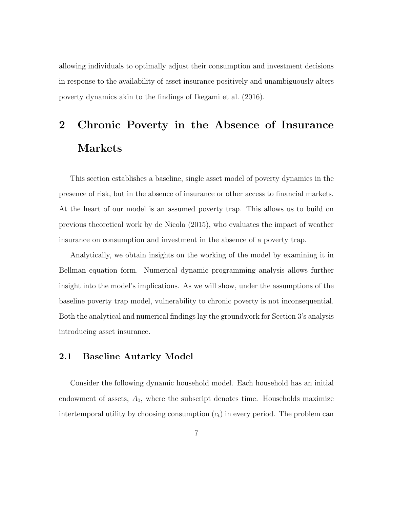allowing individuals to optimally adjust their consumption and investment decisions in response to the availability of asset insurance positively and unambiguously alters poverty dynamics akin to the findings of Ikegami et al. (2016).

# 2 Chronic Poverty in the Absence of Insurance Markets

This section establishes a baseline, single asset model of poverty dynamics in the presence of risk, but in the absence of insurance or other access to financial markets. At the heart of our model is an assumed poverty trap. This allows us to build on previous theoretical work by de Nicola (2015), who evaluates the impact of weather insurance on consumption and investment in the absence of a poverty trap.

Analytically, we obtain insights on the working of the model by examining it in Bellman equation form. Numerical dynamic programming analysis allows further insight into the model's implications. As we will show, under the assumptions of the baseline poverty trap model, vulnerability to chronic poverty is not inconsequential. Both the analytical and numerical findings lay the groundwork for Section 3's analysis introducing asset insurance.

### 2.1 Baseline Autarky Model

Consider the following dynamic household model. Each household has an initial endowment of assets,  $A_0$ , where the subscript denotes time. Households maximize intertemporal utility by choosing consumption (*ct*) in every period. The problem can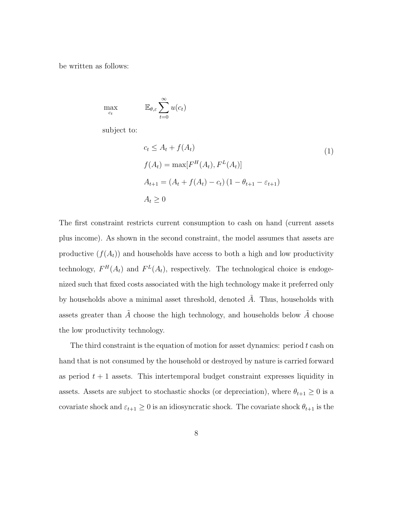be written as follows:

$$
\max_{c_t} \qquad \qquad \mathbb{E}_{\theta,\varepsilon} \sum_{t=0}^{\infty} u(c_t)
$$

subject to:

$$
c_t \le A_t + f(A_t)
$$
  
\n
$$
f(A_t) = \max[F^H(A_t), F^L(A_t)]
$$
  
\n
$$
A_{t+1} = (A_t + f(A_t) - c_t) (1 - \theta_{t+1} - \varepsilon_{t+1})
$$
  
\n
$$
A_t \ge 0
$$
\n(1)

The first constraint restricts current consumption to cash on hand (current assets plus income). As shown in the second constraint, the model assumes that assets are productive  $(f(A_t))$  and households have access to both a high and low productivity technology,  $F^H(A_t)$  and  $F^L(A_t)$ , respectively. The technological choice is endogenized such that fixed costs associated with the high technology make it preferred only by households above a minimal asset threshold, denoted  $A$ . Thus, households with assets greater than  $\tilde{A}$  choose the high technology, and households below  $\tilde{A}$  choose the low productivity technology.

The third constraint is the equation of motion for asset dynamics: period *t* cash on hand that is not consumed by the household or destroyed by nature is carried forward as period  $t + 1$  assets. This intertemporal budget constraint expresses liquidity in assets. Assets are subject to stochastic shocks (or depreciation), where  $\theta_{t+1} \geq 0$  is a covariate shock and  $\varepsilon_{t+1} \geq 0$  is an idiosyncratic shock. The covariate shock  $\theta_{t+1}$  is the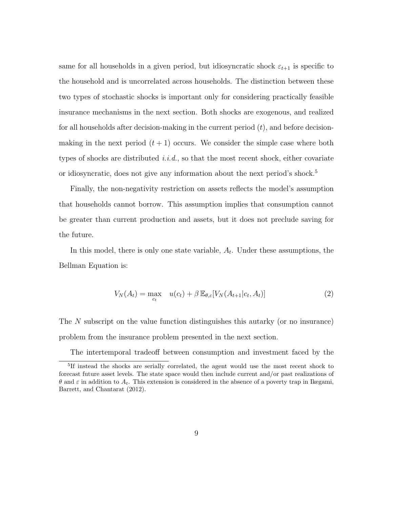same for all households in a given period, but idiosyncratic shock  $\varepsilon_{t+1}$  is specific to the household and is uncorrelated across households. The distinction between these two types of stochastic shocks is important only for considering practically feasible insurance mechanisms in the next section. Both shocks are exogenous, and realized for all households after decision-making in the current period (*t*), and before decisionmaking in the next period  $(t+1)$  occurs. We consider the simple case where both types of shocks are distributed *i.i.d.*, so that the most recent shock, either covariate or idiosyncratic, does not give any information about the next period's shock.<sup>5</sup>

Finally, the non-negativity restriction on assets reflects the model's assumption that households cannot borrow. This assumption implies that consumption cannot be greater than current production and assets, but it does not preclude saving for the future.

In this model, there is only one state variable, *At*. Under these assumptions, the Bellman Equation is:

$$
V_N(A_t) = \max_{c_t} \quad u(c_t) + \beta \mathbb{E}_{\theta, \varepsilon}[V_N(A_{t+1}|c_t, A_t)] \tag{2}
$$

The *N* subscript on the value function distinguishes this autarky (or no insurance) problem from the insurance problem presented in the next section.

The intertemporal tradeoff between consumption and investment faced by the

<sup>5</sup>If instead the shocks are serially correlated, the agent would use the most recent shock to forecast future asset levels. The state space would then include current and/or past realizations of  $\theta$  and  $\varepsilon$  in addition to  $A_t$ . This extension is considered in the absence of a poverty trap in Ikegami, Barrett, and Chantarat (2012).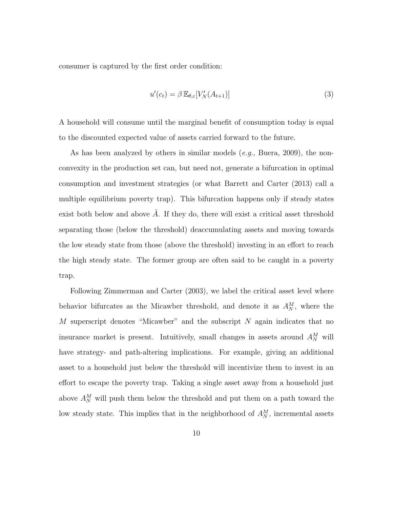consumer is captured by the first order condition:

$$
u'(c_t) = \beta \mathbb{E}_{\theta, \varepsilon} [V_N'(A_{t+1})]
$$
\n(3)

A household will consume until the marginal benefit of consumption today is equal to the discounted expected value of assets carried forward to the future.

As has been analyzed by others in similar models (*e.g.*, Buera, 2009), the nonconvexity in the production set can, but need not, generate a bifurcation in optimal consumption and investment strategies (or what Barrett and Carter (2013) call a multiple equilibrium poverty trap). This bifurcation happens only if steady states exist both below and above  $\tilde{A}$ . If they do, there will exist a critical asset threshold separating those (below the threshold) deaccumulating assets and moving towards the low steady state from those (above the threshold) investing in an effort to reach the high steady state. The former group are often said to be caught in a poverty trap.

Following Zimmerman and Carter (2003), we label the critical asset level where behavior bifurcates as the Micawber threshold, and denote it as  $A_N^M$ , where the *M* superscript denotes "Micawber" and the subscript *N* again indicates that no insurance market is present. Intuitively, small changes in assets around  $A_N^M$  will have strategy- and path-altering implications. For example, giving an additional asset to a household just below the threshold will incentivize them to invest in an effort to escape the poverty trap. Taking a single asset away from a household just above  $A_N^M$  will push them below the threshold and put them on a path toward the low steady state. This implies that in the neighborhood of  $A_N^M$ , incremental assets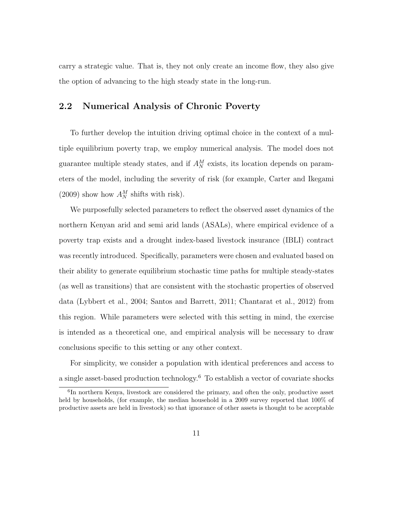carry a strategic value. That is, they not only create an income flow, they also give the option of advancing to the high steady state in the long-run.

### 2.2 Numerical Analysis of Chronic Poverty

To further develop the intuition driving optimal choice in the context of a multiple equilibrium poverty trap, we employ numerical analysis. The model does not guarantee multiple steady states, and if  $A_N^M$  exists, its location depends on parameters of the model, including the severity of risk (for example, Carter and Ikegami (2009) show how  $A_N^M$  shifts with risk).

We purposefully selected parameters to reflect the observed asset dynamics of the northern Kenyan arid and semi arid lands (ASALs), where empirical evidence of a poverty trap exists and a drought index-based livestock insurance (IBLI) contract was recently introduced. Specifically, parameters were chosen and evaluated based on their ability to generate equilibrium stochastic time paths for multiple steady-states (as well as transitions) that are consistent with the stochastic properties of observed data (Lybbert et al., 2004; Santos and Barrett, 2011; Chantarat et al., 2012) from this region. While parameters were selected with this setting in mind, the exercise is intended as a theoretical one, and empirical analysis will be necessary to draw conclusions specific to this setting or any other context.

For simplicity, we consider a population with identical preferences and access to a single asset-based production technology.<sup>6</sup> To establish a vector of covariate shocks

 ${}^{6}$ In northern Kenya, livestock are considered the primary, and often the only, productive asset held by households, (for example, the median household in a 2009 survey reported that  $100\%$  of productive assets are held in livestock) so that ignorance of other assets is thought to be acceptable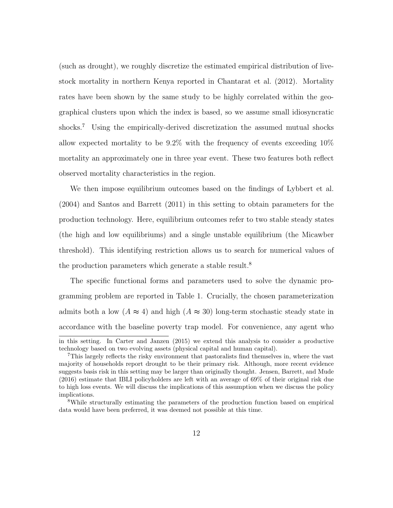(such as drought), we roughly discretize the estimated empirical distribution of livestock mortality in northern Kenya reported in Chantarat et al. (2012). Mortality rates have been shown by the same study to be highly correlated within the geographical clusters upon which the index is based, so we assume small idiosyncratic shocks.<sup>7</sup> Using the empirically-derived discretization the assumed mutual shocks allow expected mortality to be 9.2% with the frequency of events exceeding 10% mortality an approximately one in three year event. These two features both reflect observed mortality characteristics in the region.

We then impose equilibrium outcomes based on the findings of Lybbert et al. (2004) and Santos and Barrett (2011) in this setting to obtain parameters for the production technology. Here, equilibrium outcomes refer to two stable steady states (the high and low equilibriums) and a single unstable equilibrium (the Micawber threshold). This identifying restriction allows us to search for numerical values of the production parameters which generate a stable result.<sup>8</sup>

The specific functional forms and parameters used to solve the dynamic programming problem are reported in Table 1. Crucially, the chosen parameterization admits both a low  $(A \approx 4)$  and high  $(A \approx 30)$  long-term stochastic steady state in accordance with the baseline poverty trap model. For convenience, any agent who in this setting. In Carter and Janzen (2015) we extend this analysis to consider a productive technology based on two evolving assets (physical capital and human capital).

<sup>7</sup>This largely reflects the risky environment that pastoralists find themselves in, where the vast majority of households report drought to be their primary risk. Although, more recent evidence suggests basis risk in this setting may be larger than originally thought. Jensen, Barrett, and Mude (2016) estimate that IBLI policyholders are left with an average of 69% of their original risk due to high loss events. We will discuss the implications of this assumption when we discuss the policy implications.

<sup>8</sup>While structurally estimating the parameters of the production function based on empirical data would have been preferred, it was deemed not possible at this time.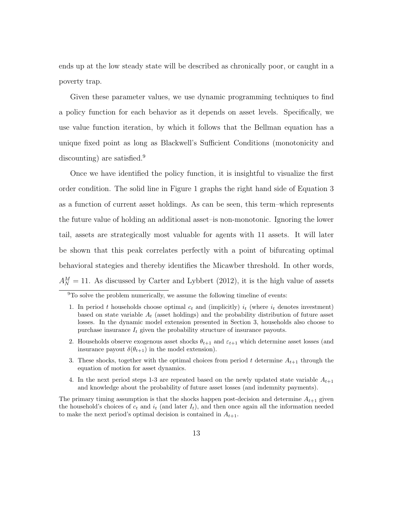ends up at the low steady state will be described as chronically poor, or caught in a poverty trap.

Given these parameter values, we use dynamic programming techniques to find a policy function for each behavior as it depends on asset levels. Specifically, we use value function iteration, by which it follows that the Bellman equation has a unique fixed point as long as Blackwell's Sufficient Conditions (monotonicity and discounting) are satisfied.<sup>9</sup>

Once we have identified the policy function, it is insightful to visualize the first order condition. The solid line in Figure 1 graphs the right hand side of Equation 3 as a function of current asset holdings. As can be seen, this term–which represents the future value of holding an additional asset–is non-monotonic. Ignoring the lower tail, assets are strategically most valuable for agents with 11 assets. It will later be shown that this peak correlates perfectly with a point of bifurcating optimal behavioral stategies and thereby identifies the Micawber threshold. In other words,  $A_N^M = 11$ . As discussed by Carter and Lybbert (2012), it is the high value of assets

- 2. Households observe exogenous asset shocks  $\theta_{t+1}$  and  $\varepsilon_{t+1}$  which determine asset losses (and insurance payout  $\delta(\theta_{t+1})$  in the model extension).
- 3. These shocks, together with the optimal choices from period  $t$  determine  $A_{t+1}$  through the equation of motion for asset dynamics.
- 4. In the next period steps 1-3 are repeated based on the newly updated state variable  $A_{t+1}$ and knowledge about the probability of future asset losses (and indemnity payments).

The primary timing assumption is that the shocks happen post-decision and determine  $A_{t+1}$  given the household's choices of  $c_t$  and  $i_t$  (and later  $I_t$ ), and then once again all the information needed to make the next period's optimal decision is contained in  $A_{t+1}$ .

<sup>9</sup>To solve the problem numerically, we assume the following timeline of events:

<sup>1.</sup> In period *t* households choose optimal  $c_t$  and (implicitly)  $i_t$  (where  $i_t$  denotes investment) based on state variable  $A_t$  (asset holdings) and the probability distribution of future asset losses. In the dynamic model extension presented in Section 3, households also choose to purchase insurance  $I_t$  given the probability structure of insurance payouts.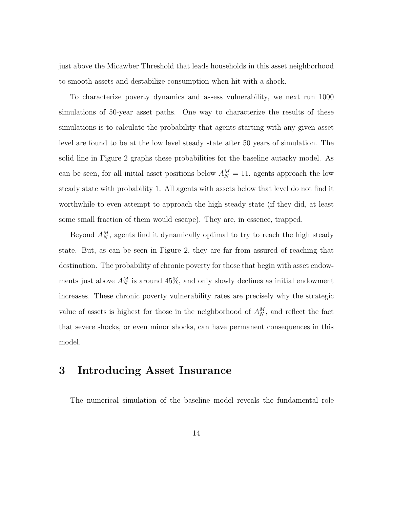just above the Micawber Threshold that leads households in this asset neighborhood to smooth assets and destabilize consumption when hit with a shock.

To characterize poverty dynamics and assess vulnerability, we next run 1000 simulations of 50-year asset paths. One way to characterize the results of these simulations is to calculate the probability that agents starting with any given asset level are found to be at the low level steady state after 50 years of simulation. The solid line in Figure 2 graphs these probabilities for the baseline autarky model. As can be seen, for all initial asset positions below  $A_N^M = 11$ , agents approach the low steady state with probability 1. All agents with assets below that level do not find it worthwhile to even attempt to approach the high steady state (if they did, at least some small fraction of them would escape). They are, in essence, trapped.

Beyond  $A_N^M$ , agents find it dynamically optimal to try to reach the high steady state. But, as can be seen in Figure 2, they are far from assured of reaching that destination. The probability of chronic poverty for those that begin with asset endowments just above  $A_N^M$  is around 45%, and only slowly declines as initial endowment increases. These chronic poverty vulnerability rates are precisely why the strategic value of assets is highest for those in the neighborhood of  $A_N^M$ , and reflect the fact that severe shocks, or even minor shocks, can have permanent consequences in this model.

# 3 Introducing Asset Insurance

The numerical simulation of the baseline model reveals the fundamental role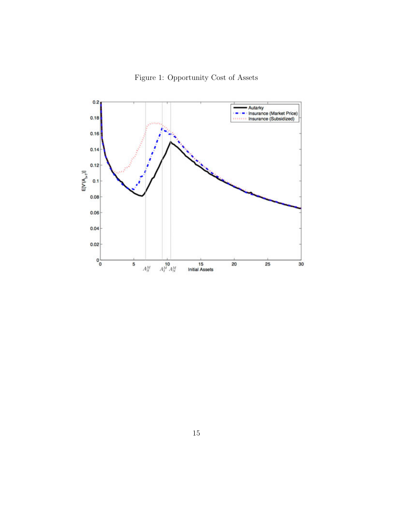Figure 1: Opportunity Cost of Assets

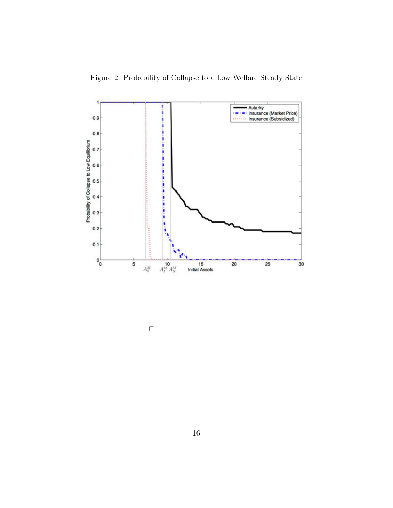Figure 2: Probability of Collapse to a Low Welfare Steady State



 $\Box$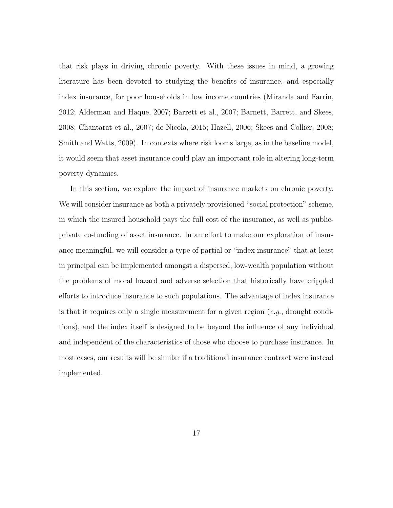that risk plays in driving chronic poverty. With these issues in mind, a growing literature has been devoted to studying the benefits of insurance, and especially index insurance, for poor households in low income countries (Miranda and Farrin, 2012; Alderman and Haque, 2007; Barrett et al., 2007; Barnett, Barrett, and Skees, 2008; Chantarat et al., 2007; de Nicola, 2015; Hazell, 2006; Skees and Collier, 2008; Smith and Watts, 2009). In contexts where risk looms large, as in the baseline model, it would seem that asset insurance could play an important role in altering long-term poverty dynamics.

In this section, we explore the impact of insurance markets on chronic poverty. We will consider insurance as both a privately provisioned "social protection" scheme, in which the insured household pays the full cost of the insurance, as well as publicprivate co-funding of asset insurance. In an effort to make our exploration of insurance meaningful, we will consider a type of partial or "index insurance" that at least in principal can be implemented amongst a dispersed, low-wealth population without the problems of moral hazard and adverse selection that historically have crippled efforts to introduce insurance to such populations. The advantage of index insurance is that it requires only a single measurement for a given region (*e.g*., drought conditions), and the index itself is designed to be beyond the influence of any individual and independent of the characteristics of those who choose to purchase insurance. In most cases, our results will be similar if a traditional insurance contract were instead implemented.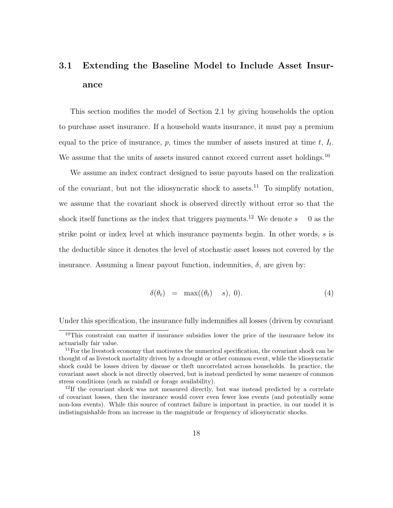# 3.1 Extending the Baseline Model to Include Asset Insurance

This section modifies the model of Section 2.1 by giving households the option to purchase asset insurance. If a household wants insurance, it must pay a premium equal to the price of insurance,  $p$ , times the number of assets insured at time  $t$ ,  $I_t$ . We assume that the units of assets insured cannot exceed current asset holdings.<sup>10</sup>

We assume an index contract designed to issue payouts based on the realization of the covariant, but not the idiosyncratic shock to assets.<sup>11</sup> To simplify notation, we assume that the covariant shock is observed directly without error so that the shock itself functions as the index that triggers payments.<sup>12</sup> We denote  $s = 0$  as the strike point or index level at which insurance payments begin. In other words, *s* is the deductible since it denotes the level of stochastic asset losses not covered by the insurance. Assuming a linear payout function, indemnities,  $\delta$ , are given by:

$$
\delta(\theta_t) = \max((\theta_t) \quad s), \ 0). \tag{4}
$$

Under this specification, the insurance fully indemnifies all losses (driven by covariant

<sup>&</sup>lt;sup>10</sup>This constraint can matter if insurance subsidies lower the price of the insurance below its actuarially fair value.

<sup>&</sup>lt;sup>11</sup>For the livestock economy that motivates the numerical specification, the covariant shock can be thought of as livestock mortality driven by a drought or other common event, while the idiosyncratic shock could be losses driven by disease or theft uncorrelated across households. In practice, the covariant asset shock is not directly observed, but is instead predicted by some measure of common stress conditions (such as rainfall or forage availability).

 $12$ If the covariant shock was not measured directly, but was instead predicted by a correlate of covariant losses, then the insurance would cover even fewer loss events (and potentially some non-loss events). While this source of contract failure is important in practice, in our model it is indistinguishable from an increase in the magnitude or frequency of idiosyncratic shocks.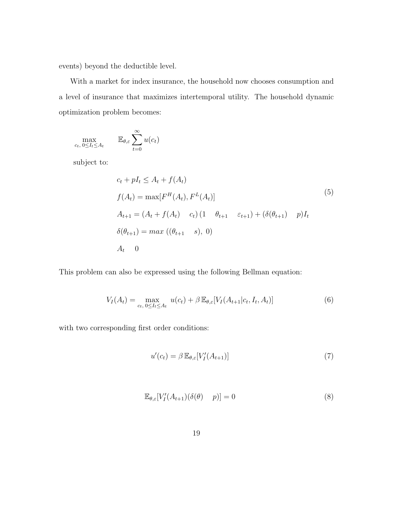events) beyond the deductible level.

With a market for index insurance, the household now chooses consumption and a level of insurance that maximizes intertemporal utility. The household dynamic optimization problem becomes:

$$
\max_{c_t, 0 \le I_t \le A_t} \qquad \mathbb{E}_{\theta, \varepsilon} \sum_{t=0}^{\infty} u(c_t)
$$

subject to:

$$
c_{t} + pI_{t} \leq A_{t} + f(A_{t})
$$
  
\n
$$
f(A_{t}) = \max[F^{H}(A_{t}), F^{L}(A_{t})]
$$
  
\n
$$
A_{t+1} = (A_{t} + f(A_{t}) - c_{t}) (1 - \theta_{t+1} - \varepsilon_{t+1}) + (\delta(\theta_{t+1}) - p)I_{t}
$$
  
\n
$$
\delta(\theta_{t+1}) = \max((\theta_{t+1} - s), 0)
$$
  
\n
$$
A_{t} = 0
$$
\n(10)

This problem can also be expressed using the following Bellman equation:

$$
V_I(A_t) = \max_{c_t, 0 \le I_t \le A_t} u(c_t) + \beta \mathbb{E}_{\theta, \varepsilon}[V_I(A_{t+1}|c_t, I_t, A_t)] \tag{6}
$$

with two corresponding first order conditions:

$$
u'(c_t) = \beta \mathbb{E}_{\theta, \varepsilon} [V_I'(A_{t+1})] \tag{7}
$$

$$
\mathbb{E}_{\theta,\varepsilon}[V_I'(A_{t+1})(\delta(\theta) \quad p)] = 0 \tag{8}
$$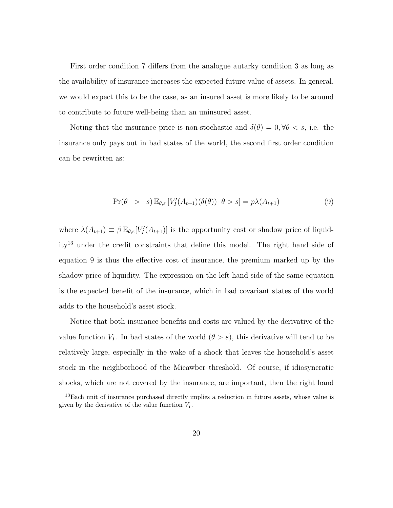First order condition 7 differs from the analogue autarky condition 3 as long as the availability of insurance increases the expected future value of assets. In general, we would expect this to be the case, as an insured asset is more likely to be around to contribute to future well-being than an uninsured asset.

Noting that the insurance price is non-stochastic and  $\delta(\theta)=0, \forall \theta < s$ , i.e. the insurance only pays out in bad states of the world, the second first order condition can be rewritten as:

$$
\Pr(\theta > s) \mathbb{E}_{\theta, \varepsilon} \left[ V_I'(A_{t+1})(\delta(\theta)) \middle| \theta > s \right] = p\lambda(A_{t+1}) \tag{9}
$$

where  $\lambda(A_{t+1}) \equiv \beta \mathbb{E}_{\theta,\varepsilon}[V_I'(A_{t+1})]$  is the opportunity cost or shadow price of liquidity<sup>13</sup> under the credit constraints that define this model. The right hand side of equation 9 is thus the effective cost of insurance, the premium marked up by the shadow price of liquidity. The expression on the left hand side of the same equation is the expected benefit of the insurance, which in bad covariant states of the world adds to the household's asset stock.

Notice that both insurance benefits and costs are valued by the derivative of the value function  $V_I$ . In bad states of the world  $(\theta > s)$ , this derivative will tend to be relatively large, especially in the wake of a shock that leaves the household's asset stock in the neighborhood of the Micawber threshold. Of course, if idiosyncratic shocks, which are not covered by the insurance, are important, then the right hand

<sup>13</sup>Each unit of insurance purchased directly implies a reduction in future assets, whose value is given by the derivative of the value function  $V_I$ .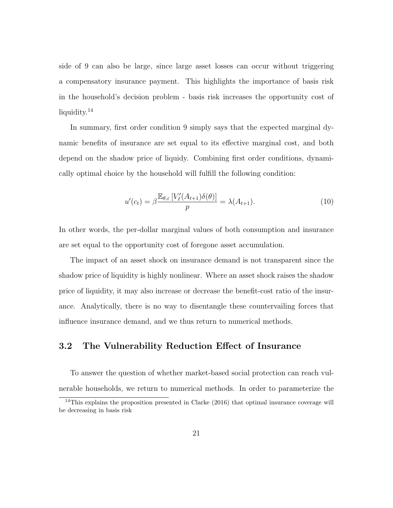side of 9 can also be large, since large asset losses can occur without triggering a compensatory insurance payment. This highlights the importance of basis risk in the household's decision problem - basis risk increases the opportunity cost of liquidity.<sup>14</sup>

In summary, first order condition 9 simply says that the expected marginal dynamic benefits of insurance are set equal to its effective marginal cost, and both depend on the shadow price of liquidy. Combining first order conditions, dynamically optimal choice by the household will fulfill the following condition:

$$
u'(c_t) = \beta \frac{\mathbb{E}_{\theta, \varepsilon} \left[ V_I'(A_{t+1}) \delta(\theta) \right]}{p} = \lambda(A_{t+1}). \tag{10}
$$

In other words, the per-dollar marginal values of both consumption and insurance are set equal to the opportunity cost of foregone asset accumulation.

The impact of an asset shock on insurance demand is not transparent since the shadow price of liquidity is highly nonlinear. Where an asset shock raises the shadow price of liquidity, it may also increase or decrease the benefit-cost ratio of the insurance. Analytically, there is no way to disentangle these countervailing forces that influence insurance demand, and we thus return to numerical methods.

### 3.2 The Vulnerability Reduction Effect of Insurance

To answer the question of whether market-based social protection can reach vulnerable households, we return to numerical methods. In order to parameterize the

<sup>&</sup>lt;sup>14</sup>This explains the proposition presented in Clarke (2016) that optimal insurance coverage will be decreasing in basis risk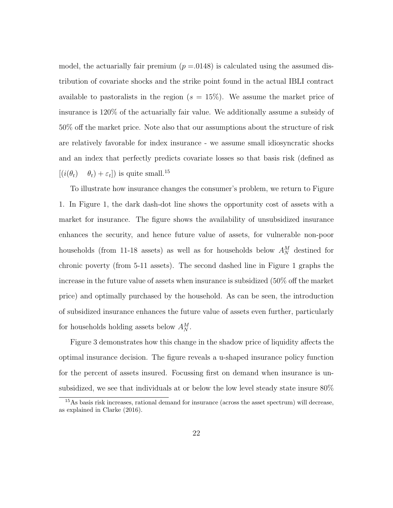model, the actuarially fair premium  $(p = 0.0148)$  is calculated using the assumed distribution of covariate shocks and the strike point found in the actual IBLI contract available to pastoralists in the region  $(s = 15\%)$ . We assume the market price of insurance is 120% of the actuarially fair value. We additionally assume a subsidy of 50% off the market price. Note also that our assumptions about the structure of risk are relatively favorable for index insurance - we assume small idiosyncratic shocks and an index that perfectly predicts covariate losses so that basis risk (defined as  $[(i(\theta_t) \quad \theta_t) + \varepsilon_t]$ ) is quite small.<sup>15</sup>

To illustrate how insurance changes the consumer's problem, we return to Figure 1. In Figure 1, the dark dash-dot line shows the opportunity cost of assets with a market for insurance. The figure shows the availability of unsubsidized insurance enhances the security, and hence future value of assets, for vulnerable non-poor households (from 11-18 assets) as well as for households below  $A_N^M$  destined for chronic poverty (from 5-11 assets). The second dashed line in Figure 1 graphs the increase in the future value of assets when insurance is subsidized  $(50\% \text{ off the market})$ price) and optimally purchased by the household. As can be seen, the introduction of subsidized insurance enhances the future value of assets even further, particularly for households holding assets below  $A_N^M$ .

Figure 3 demonstrates how this change in the shadow price of liquidity affects the optimal insurance decision. The figure reveals a u-shaped insurance policy function for the percent of assets insured. Focussing first on demand when insurance is unsubsidized, we see that individuals at or below the low level steady state insure 80%

<sup>15</sup>As basis risk increases, rational demand for insurance (across the asset spectrum) will decrease, as explained in Clarke (2016).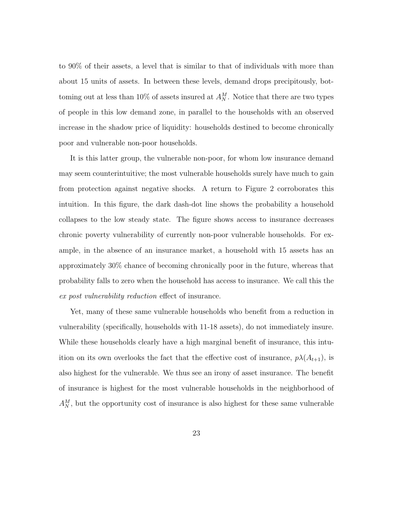to 90% of their assets, a level that is similar to that of individuals with more than about 15 units of assets. In between these levels, demand drops precipitously, bottoming out at less than 10% of assets insured at  $A_N^M$ . Notice that there are two types of people in this low demand zone, in parallel to the households with an observed increase in the shadow price of liquidity: households destined to become chronically poor and vulnerable non-poor households.

It is this latter group, the vulnerable non-poor, for whom low insurance demand may seem counterintuitive; the most vulnerable households surely have much to gain from protection against negative shocks. A return to Figure 2 corroborates this intuition. In this figure, the dark dash-dot line shows the probability a household collapses to the low steady state. The figure shows access to insurance decreases chronic poverty vulnerability of currently non-poor vulnerable households. For example, in the absence of an insurance market, a household with 15 assets has an approximately 30% chance of becoming chronically poor in the future, whereas that probability falls to zero when the household has access to insurance. We call this the *ex post vulnerability reduction* effect of insurance.

Yet, many of these same vulnerable households who benefit from a reduction in vulnerability (specifically, households with 11-18 assets), do not immediately insure. While these households clearly have a high marginal benefit of insurance, this intuition on its own overlooks the fact that the effective cost of insurance,  $p\lambda(A_{t+1})$ , is also highest for the vulnerable. We thus see an irony of asset insurance. The benefit of insurance is highest for the most vulnerable households in the neighborhood of  $A_N^M$ , but the opportunity cost of insurance is also highest for these same vulnerable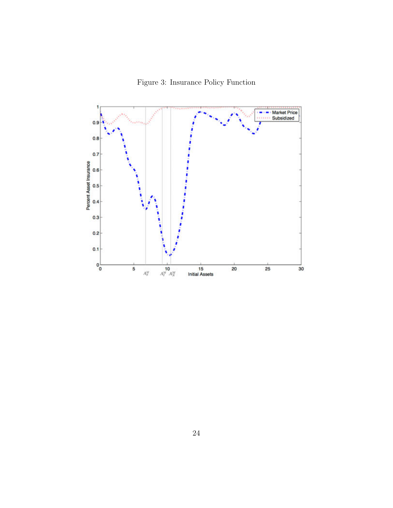Figure 3: Insurance Policy Function

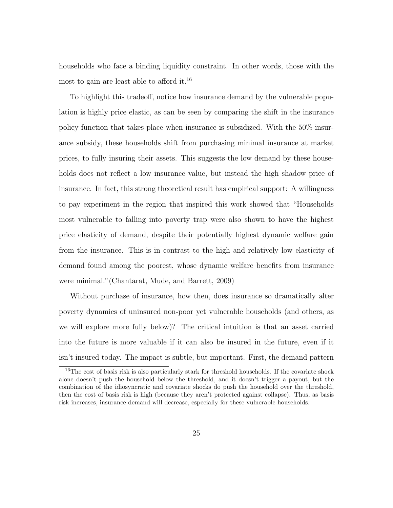households who face a binding liquidity constraint. In other words, those with the most to gain are least able to afford it.<sup>16</sup>

To highlight this tradeoff, notice how insurance demand by the vulnerable population is highly price elastic, as can be seen by comparing the shift in the insurance policy function that takes place when insurance is subsidized. With the 50% insurance subsidy, these households shift from purchasing minimal insurance at market prices, to fully insuring their assets. This suggests the low demand by these households does not reflect a low insurance value, but instead the high shadow price of insurance. In fact, this strong theoretical result has empirical support: A willingness to pay experiment in the region that inspired this work showed that "Households most vulnerable to falling into poverty trap were also shown to have the highest price elasticity of demand, despite their potentially highest dynamic welfare gain from the insurance. This is in contrast to the high and relatively low elasticity of demand found among the poorest, whose dynamic welfare benefits from insurance were minimal."(Chantarat, Mude, and Barrett, 2009)

Without purchase of insurance, how then, does insurance so dramatically alter poverty dynamics of uninsured non-poor yet vulnerable households (and others, as we will explore more fully below)? The critical intuition is that an asset carried into the future is more valuable if it can also be insured in the future, even if it isn't insured today. The impact is subtle, but important. First, the demand pattern

<sup>&</sup>lt;sup>16</sup>The cost of basis risk is also particularly stark for threshold households. If the covariate shock alone doesn't push the household below the threshold, and it doesn't trigger a payout, but the combination of the idiosyncratic and covariate shocks do push the household over the threshold, then the cost of basis risk is high (because they aren't protected against collapse). Thus, as basis risk increases, insurance demand will decrease, especially for these vulnerable households.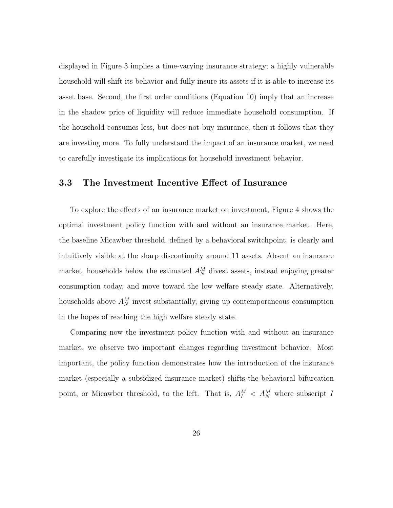displayed in Figure 3 implies a time-varying insurance strategy; a highly vulnerable household will shift its behavior and fully insure its assets if it is able to increase its asset base. Second, the first order conditions (Equation 10) imply that an increase in the shadow price of liquidity will reduce immediate household consumption. If the household consumes less, but does not buy insurance, then it follows that they are investing more. To fully understand the impact of an insurance market, we need to carefully investigate its implications for household investment behavior.

### 3.3 The Investment Incentive Effect of Insurance

To explore the effects of an insurance market on investment, Figure 4 shows the optimal investment policy function with and without an insurance market. Here, the baseline Micawber threshold, defined by a behavioral switchpoint, is clearly and intuitively visible at the sharp discontinuity around 11 assets. Absent an insurance market, households below the estimated  $A_N^M$  divest assets, instead enjoying greater consumption today, and move toward the low welfare steady state. Alternatively, households above  $A_N^M$  invest substantially, giving up contemporaneous consumption in the hopes of reaching the high welfare steady state.

Comparing now the investment policy function with and without an insurance market, we observe two important changes regarding investment behavior. Most important, the policy function demonstrates how the introduction of the insurance market (especially a subsidized insurance market) shifts the behavioral bifurcation point, or Micawber threshold, to the left. That is,  $A_I^M < A_N^M$  where subscript *I*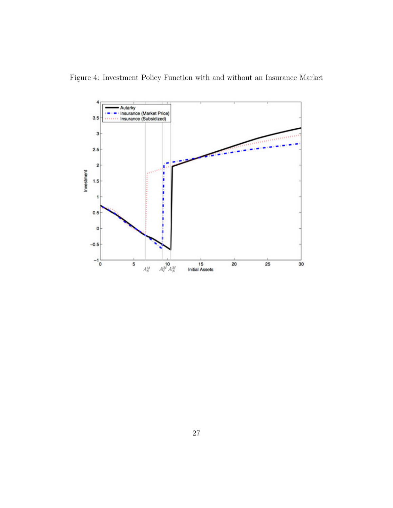

Figure 4: Investment Policy Function with and without an Insurance Market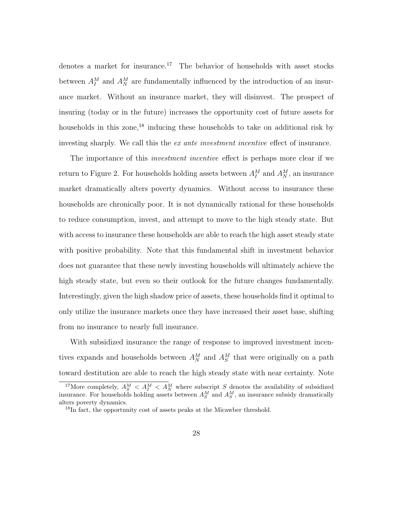denotes a market for insurance.<sup>17</sup> The behavior of households with asset stocks between  $A_I^M$  and  $A_N^M$  are fundamentally influenced by the introduction of an insurance market. Without an insurance market, they will disinvest. The prospect of insuring (today or in the future) increases the opportunity cost of future assets for households in this zone,<sup>18</sup> inducing these households to take on additional risk by investing sharply. We call this the *ex* ante *investment incentive* effect of insurance.

The importance of this *investment incentive* effect is perhaps more clear if we return to Figure 2. For households holding assets between  $A_I^M$  and  $A_N^M$ , an insurance market dramatically alters poverty dynamics. Without access to insurance these households are chronically poor. It is not dynamically rational for these households to reduce consumption, invest, and attempt to move to the high steady state. But with access to insurance these households are able to reach the high asset steady state with positive probability. Note that this fundamental shift in investment behavior does not guarantee that these newly investing households will ultimately achieve the high steady state, but even so their outlook for the future changes fundamentally. Interestingly, given the high shadow price of assets, these households find it optimal to only utilize the insurance markets once they have increased their asset base, shifting from no insurance to nearly full insurance.

With subsidized insurance the range of response to improved investment incentives expands and households between  $A_N^M$  and  $A_S^M$  that were originally on a path toward destitution are able to reach the high steady state with near certainty. Note

<sup>&</sup>lt;sup>17</sup>More completely,  $A_S^M < A_I^M$  *< A*<sup>*M*</sup> where subscript *S* denotes the availability of subsidized insurance. For households holding assets between  $A_S^M$  and  $A_S^M$ , an insurance subsidy dramatically alters poverty dynamics.

<sup>&</sup>lt;sup>18</sup>In fact, the opportunity cost of assets peaks at the Micawber threshold.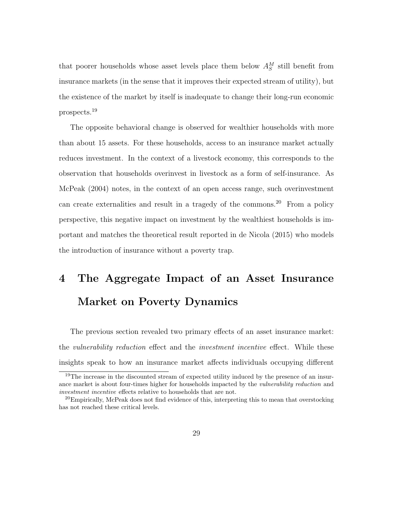that poorer households whose asset levels place them below  $A_S^M$  still benefit from insurance markets (in the sense that it improves their expected stream of utility), but the existence of the market by itself is inadequate to change their long-run economic prospects.<sup>19</sup>

The opposite behavioral change is observed for wealthier households with more than about 15 assets. For these households, access to an insurance market actually reduces investment. In the context of a livestock economy, this corresponds to the observation that households overinvest in livestock as a form of self-insurance. As McPeak (2004) notes, in the context of an open access range, such overinvestment can create externalities and result in a tragedy of the commons.<sup>20</sup> From a policy perspective, this negative impact on investment by the wealthiest households is important and matches the theoretical result reported in de Nicola (2015) who models the introduction of insurance without a poverty trap.

# 4 The Aggregate Impact of an Asset Insurance Market on Poverty Dynamics

The previous section revealed two primary effects of an asset insurance market: the *vulnerability* reduction effect and the *investment incentive* effect. While these insights speak to how an insurance market affects individuals occupying different

<sup>&</sup>lt;sup>19</sup>The increase in the discounted stream of expected utility induced by the presence of an insurance market is about four-times higher for households impacted by the *vulnerability reduction* and *investment incentive* effects relative to households that are not.

<sup>&</sup>lt;sup>20</sup>Empirically, McPeak does not find evidence of this, interpreting this to mean that overstocking has not reached these critical levels.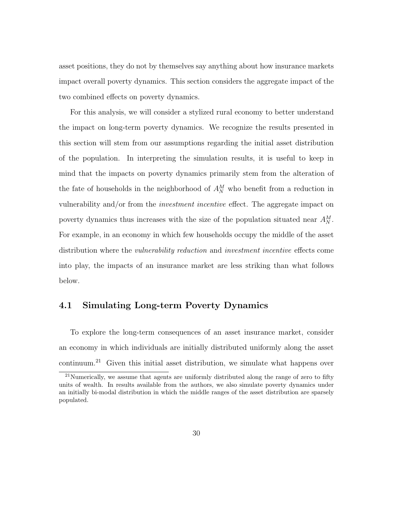asset positions, they do not by themselves say anything about how insurance markets impact overall poverty dynamics. This section considers the aggregate impact of the two combined effects on poverty dynamics.

For this analysis, we will consider a stylized rural economy to better understand the impact on long-term poverty dynamics. We recognize the results presented in this section will stem from our assumptions regarding the initial asset distribution of the population. In interpreting the simulation results, it is useful to keep in mind that the impacts on poverty dynamics primarily stem from the alteration of the fate of households in the neighborhood of  $A_N^M$  who benefit from a reduction in vulnerability and/or from the *investment incentive* effect. The aggregate impact on poverty dynamics thus increases with the size of the population situated near  $A_N^M$ . For example, in an economy in which few households occupy the middle of the asset distribution where the *vulnerability* reduction and *investment incentive* effects come into play, the impacts of an insurance market are less striking than what follows below.

### 4.1 Simulating Long-term Poverty Dynamics

To explore the long-term consequences of an asset insurance market, consider an economy in which individuals are initially distributed uniformly along the asset continuum.<sup>21</sup> Given this initial asset distribution, we simulate what happens over

 $21$ Numerically, we assume that agents are uniformly distributed along the range of zero to fifty units of wealth. In results available from the authors, we also simulate poverty dynamics under an initially bi-modal distribution in which the middle ranges of the asset distribution are sparsely populated.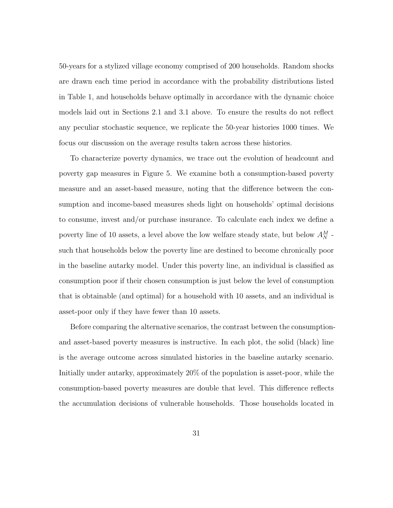50-years for a stylized village economy comprised of 200 households. Random shocks are drawn each time period in accordance with the probability distributions listed in Table 1, and households behave optimally in accordance with the dynamic choice models laid out in Sections 2.1 and 3.1 above. To ensure the results do not reflect any peculiar stochastic sequence, we replicate the 50-year histories 1000 times. We focus our discussion on the average results taken across these histories.

To characterize poverty dynamics, we trace out the evolution of headcount and poverty gap measures in Figure 5. We examine both a consumption-based poverty measure and an asset-based measure, noting that the difference between the consumption and income-based measures sheds light on households' optimal decisions to consume, invest and/or purchase insurance. To calculate each index we define a poverty line of 10 assets, a level above the low welfare steady state, but below  $A_N^M$  such that households below the poverty line are destined to become chronically poor in the baseline autarky model. Under this poverty line, an individual is classified as consumption poor if their chosen consumption is just below the level of consumption that is obtainable (and optimal) for a household with 10 assets, and an individual is asset-poor only if they have fewer than 10 assets.

Before comparing the alternative scenarios, the contrast between the consumptionand asset-based poverty measures is instructive. In each plot, the solid (black) line is the average outcome across simulated histories in the baseline autarky scenario. Initially under autarky, approximately 20% of the population is asset-poor, while the consumption-based poverty measures are double that level. This difference reflects the accumulation decisions of vulnerable households. Those households located in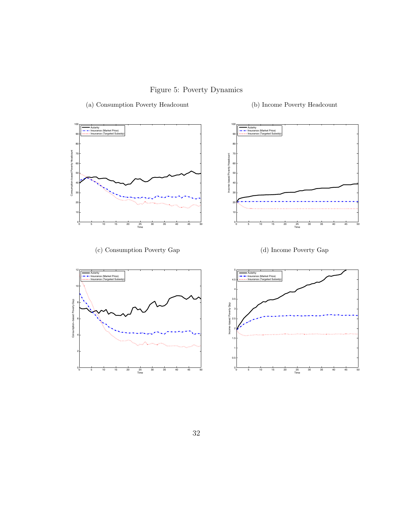Figure 5: Poverty Dynamics

(a) Consumption Poverty Headcount (b) Income Poverty Headcount

100 Autarky Insurance (Market Price) Insurance (Targeted Subsidy) 90 80 Consumption-based Poverty Headcount Consumption−based Poverty Headcount 70 60 60  $50<sub>50</sub>$   $8<sub>50</sub>$ 40 40 30 - 2010년 - 2010년 - 2010년 - 2010년 - 2010년 - 2010년 - 2010년 - 2010년 - 2010년 - 2010년 - 2010년 - 2010년 - 2010년 - 20 20년 - 20년 - 대한민국의 대한민국의 대한민국의 대한민국의 대한민국의 대한민국의 대한민국의 대한민국의 대한민국의 대한민국의 대한민국의 대한민국의 대한민국의 대한민국의 대한민  $\frac{1}{10}$  10  $\frac{1}{10}$  10  $\frac{1}{10}$  10  $\frac{1}{10}$  10  $\frac{1}{10}$  10  $\frac{1}{10}$  10  $\frac{1}{10}$  10  $\frac{1}{10}$  10  $\frac{1}{10}$  10  $\frac{1}{10}$  10  $\frac{1}{10}$  10  $\frac{1}{10}$  10  $\frac{1}{10}$  10  $\frac{1}{10}$  10  $\frac{1}{10}$  10  $\frac{1}{10}$ 

(c) Consumption Poverty Gap (d) Income Poverty Gap









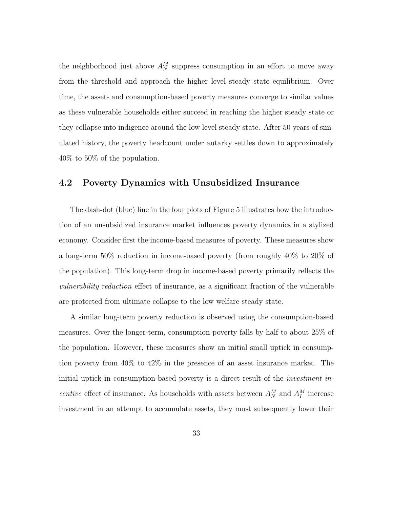the neighborhood just above  $A_N^M$  suppress consumption in an effort to move away from the threshold and approach the higher level steady state equilibrium. Over time, the asset- and consumption-based poverty measures converge to similar values as these vulnerable households either succeed in reaching the higher steady state or they collapse into indigence around the low level steady state. After 50 years of simulated history, the poverty headcount under autarky settles down to approximately 40% to 50% of the population.

### 4.2 Poverty Dynamics with Unsubsidized Insurance

The dash-dot (blue) line in the four plots of Figure 5 illustrates how the introduction of an unsubsidized insurance market influences poverty dynamics in a stylized economy. Consider first the income-based measures of poverty. These measures show a long-term 50% reduction in income-based poverty (from roughly 40% to 20% of the population). This long-term drop in income-based poverty primarily reflects the *vulnerability reduction* effect of insurance, as a significant fraction of the vulnerable are protected from ultimate collapse to the low welfare steady state.

A similar long-term poverty reduction is observed using the consumption-based measures. Over the longer-term, consumption poverty falls by half to about 25% of the population. However, these measures show an initial small uptick in consumption poverty from 40% to 42% in the presence of an asset insurance market. The initial uptick in consumption-based poverty is a direct result of the *investment incentive* effect of insurance. As households with assets between  $A_N^M$  and  $A_I^M$  increase investment in an attempt to accumulate assets, they must subsequently lower their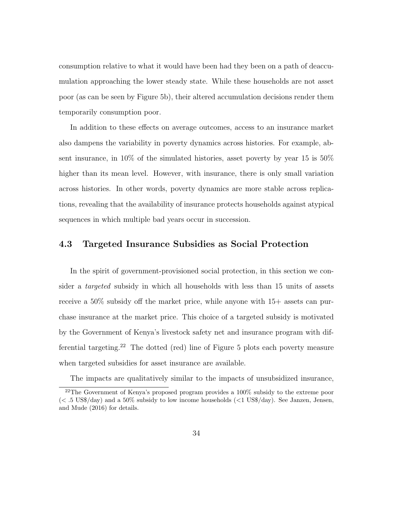consumption relative to what it would have been had they been on a path of deaccumulation approaching the lower steady state. While these households are not asset poor (as can be seen by Figure 5b), their altered accumulation decisions render them temporarily consumption poor.

In addition to these effects on average outcomes, access to an insurance market also dampens the variability in poverty dynamics across histories. For example, absent insurance, in 10% of the simulated histories, asset poverty by year 15 is 50% higher than its mean level. However, with insurance, there is only small variation across histories. In other words, poverty dynamics are more stable across replications, revealing that the availability of insurance protects households against atypical sequences in which multiple bad years occur in succession.

### 4.3 Targeted Insurance Subsidies as Social Protection

In the spirit of government-provisioned social protection, in this section we consider a *targeted* subsidy in which all households with less than 15 units of assets receive a  $50\%$  subsidy off the market price, while anyone with  $15+$  assets can purchase insurance at the market price. This choice of a targeted subsidy is motivated by the Government of Kenya's livestock safety net and insurance program with differential targeting.<sup>22</sup> The dotted (red) line of Figure 5 plots each poverty measure when targeted subsidies for asset insurance are available.

The impacts are qualitatively similar to the impacts of unsubsidized insurance,

<sup>22</sup>The Government of Kenya's proposed program provides a 100% subsidy to the extreme poor (*< .*5 US\$/day) and a 50% subsidy to low income households (*<*1 US\$/day). See Janzen, Jensen, and Mude (2016) for details.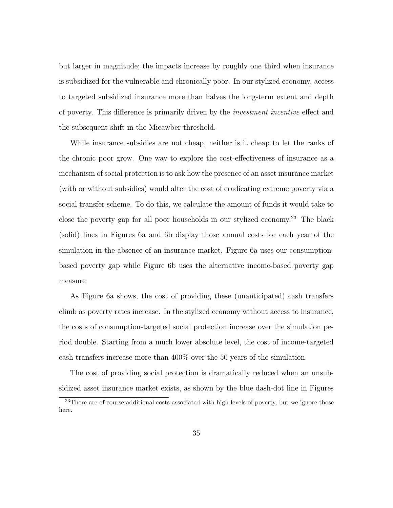but larger in magnitude; the impacts increase by roughly one third when insurance is subsidized for the vulnerable and chronically poor. In our stylized economy, access to targeted subsidized insurance more than halves the long-term extent and depth of poverty. This difference is primarily driven by the *investment incentive* effect and the subsequent shift in the Micawber threshold.

While insurance subsidies are not cheap, neither is it cheap to let the ranks of the chronic poor grow. One way to explore the cost-effectiveness of insurance as a mechanism of social protection is to ask how the presence of an asset insurance market (with or without subsidies) would alter the cost of eradicating extreme poverty via a social transfer scheme. To do this, we calculate the amount of funds it would take to close the poverty gap for all poor households in our stylized economy.<sup>23</sup> The black (solid) lines in Figures 6a and 6b display those annual costs for each year of the simulation in the absence of an insurance market. Figure 6a uses our consumptionbased poverty gap while Figure 6b uses the alternative income-based poverty gap measure

As Figure 6a shows, the cost of providing these (unanticipated) cash transfers climb as poverty rates increase. In the stylized economy without access to insurance, the costs of consumption-targeted social protection increase over the simulation period double. Starting from a much lower absolute level, the cost of income-targeted cash transfers increase more than 400% over the 50 years of the simulation.

The cost of providing social protection is dramatically reduced when an unsubsidized asset insurance market exists, as shown by the blue dash-dot line in Figures

<sup>&</sup>lt;sup>23</sup>There are of course additional costs associated with high levels of poverty, but we ignore those here.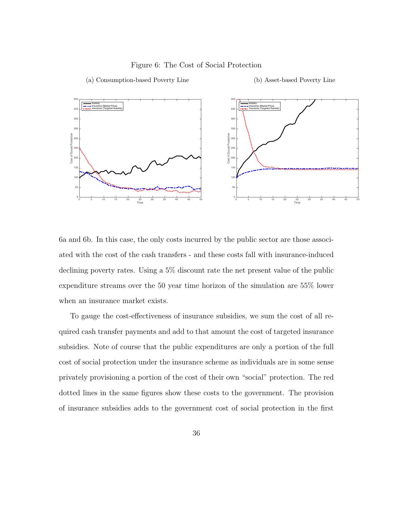#### 500 500 Autarky Autarky Insurance (Market Price) Insurance (Market Price) Insurance (Targeted Subsidy) Insurance (Targeted Subsidy) 450 450 400 - 400 - 400 - 400 - 400 - 400 - 400 - 400 - 400 - 400 - 400 - 400 - 400 - 400 - 400 - 400 - 400 - 400 - 40 350 350 Cost of Social Protection Cost of Social Protection<br>200<br>200 300 Social 250 250 200 200  $150$   $\uparrow$   $\uparrow$   $\uparrow$   $\uparrow$   $\uparrow$   $\uparrow$   $\uparrow$   $\uparrow$   $\uparrow$   $\uparrow$   $\uparrow$   $\uparrow$   $\uparrow$   $\uparrow$   $\uparrow$   $\uparrow$   $\uparrow$   $\uparrow$   $\uparrow$   $\uparrow$   $\uparrow$   $\uparrow$   $\uparrow$   $\uparrow$   $\uparrow$   $\uparrow$   $\uparrow$   $\uparrow$   $\uparrow$   $\uparrow$   $\uparrow$   $\uparrow$   $\uparrow$   $\uparrow$   $\uparrow$   $\uparrow$  $\frac{1}{100}$  100  $50$   $\vdash$   $50$ 0 0 0 5 10 15 20 25 30 35 40 45 50 0 5 10 15 20 25 30 35 40 45 50 Time Time

### Figure 6: The Cost of Social Protection

6a and 6b. In this case, the only costs incurred by the public sector are those associated with the cost of the cash transfers - and these costs fall with insurance-induced declining poverty rates. Using a 5% discount rate the net present value of the public expenditure streams over the 50 year time horizon of the simulation are 55% lower when an insurance market exists.

To gauge the cost-effectiveness of insurance subsidies, we sum the cost of all required cash transfer payments and add to that amount the cost of targeted insurance subsidies. Note of course that the public expenditures are only a portion of the full cost of social protection under the insurance scheme as individuals are in some sense privately provisioning a portion of the cost of their own "social" protection. The red dotted lines in the same figures show these costs to the government. The provision of insurance subsidies adds to the government cost of social protection in the first

### (a) Consumption-based Poverty Line (b) Asset-based Poverty Line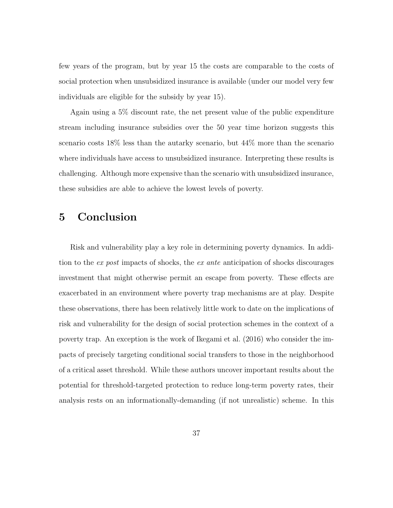few years of the program, but by year 15 the costs are comparable to the costs of social protection when unsubsidized insurance is available (under our model very few individuals are eligible for the subsidy by year 15).

Again using a 5% discount rate, the net present value of the public expenditure stream including insurance subsidies over the 50 year time horizon suggests this scenario costs 18% less than the autarky scenario, but 44% more than the scenario where individuals have access to unsubsidized insurance. Interpreting these results is challenging. Although more expensive than the scenario with unsubsidized insurance, these subsidies are able to achieve the lowest levels of poverty.

# 5 Conclusion

Risk and vulnerability play a key role in determining poverty dynamics. In addition to the *ex post* impacts of shocks, the *ex ante* anticipation of shocks discourages investment that might otherwise permit an escape from poverty. These effects are exacerbated in an environment where poverty trap mechanisms are at play. Despite these observations, there has been relatively little work to date on the implications of risk and vulnerability for the design of social protection schemes in the context of a poverty trap. An exception is the work of Ikegami et al. (2016) who consider the impacts of precisely targeting conditional social transfers to those in the neighborhood of a critical asset threshold. While these authors uncover important results about the potential for threshold-targeted protection to reduce long-term poverty rates, their analysis rests on an informationally-demanding (if not unrealistic) scheme. In this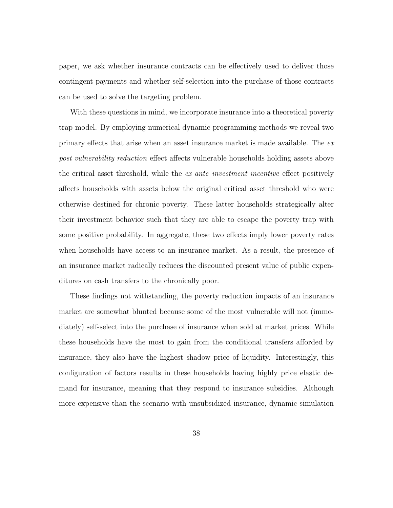paper, we ask whether insurance contracts can be effectively used to deliver those contingent payments and whether self-selection into the purchase of those contracts can be used to solve the targeting problem.

With these questions in mind, we incorporate insurance into a theoretical poverty trap model. By employing numerical dynamic programming methods we reveal two primary effects that arise when an asset insurance market is made available. The  $ex$ *post vulnerability reduction* effect affects vulnerable households holding assets above the critical asset threshold, while the *ex* ante *investment incentive* effect positively affects households with assets below the original critical asset threshold who were otherwise destined for chronic poverty. These latter households strategically alter their investment behavior such that they are able to escape the poverty trap with some positive probability. In aggregate, these two effects imply lower poverty rates when households have access to an insurance market. As a result, the presence of an insurance market radically reduces the discounted present value of public expenditures on cash transfers to the chronically poor.

These findings not withstanding, the poverty reduction impacts of an insurance market are somewhat blunted because some of the most vulnerable will not (immediately) self-select into the purchase of insurance when sold at market prices. While these households have the most to gain from the conditional transfers afforded by insurance, they also have the highest shadow price of liquidity. Interestingly, this configuration of factors results in these households having highly price elastic demand for insurance, meaning that they respond to insurance subsidies. Although more expensive than the scenario with unsubsidized insurance, dynamic simulation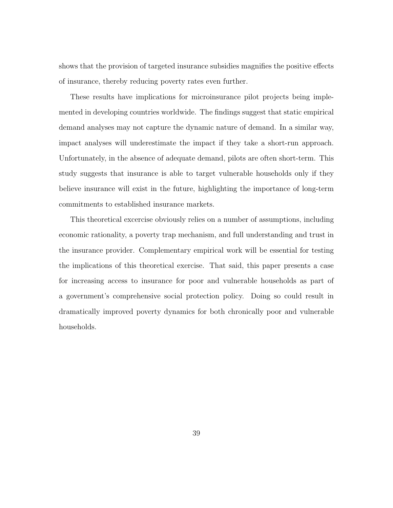shows that the provision of targeted insurance subsidies magnifies the positive effects of insurance, thereby reducing poverty rates even further.

These results have implications for microinsurance pilot projects being implemented in developing countries worldwide. The findings suggest that static empirical demand analyses may not capture the dynamic nature of demand. In a similar way, impact analyses will underestimate the impact if they take a short-run approach. Unfortunately, in the absence of adequate demand, pilots are often short-term. This study suggests that insurance is able to target vulnerable households only if they believe insurance will exist in the future, highlighting the importance of long-term commitments to established insurance markets.

This theoretical excercise obviously relies on a number of assumptions, including economic rationality, a poverty trap mechanism, and full understanding and trust in the insurance provider. Complementary empirical work will be essential for testing the implications of this theoretical exercise. That said, this paper presents a case for increasing access to insurance for poor and vulnerable households as part of a government's comprehensive social protection policy. Doing so could result in dramatically improved poverty dynamics for both chronically poor and vulnerable households.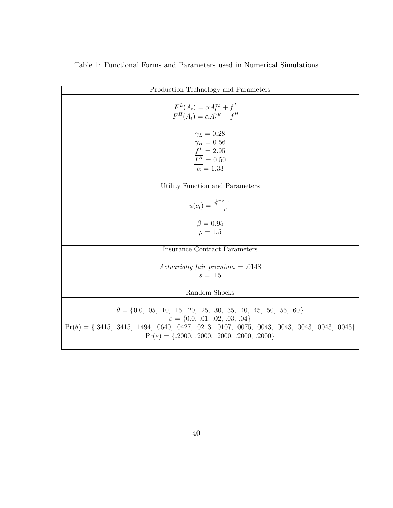| Production Technology and Parameters                                                                                                                                                                                                                                                                            |
|-----------------------------------------------------------------------------------------------------------------------------------------------------------------------------------------------------------------------------------------------------------------------------------------------------------------|
| $F^L(A_t) = \alpha A_t^{\gamma_L} + f^L$<br>$F^H(A_t) = \alpha A_t^{\gamma_H} + \overline{f}^H$                                                                                                                                                                                                                 |
| $\gamma_L=0.28$<br>$\gamma_H=0.56$<br>$f^L = 2.95$<br>$\overline{f^H}$ = 0.50<br>$\alpha = 1.33$                                                                                                                                                                                                                |
| Utility Function and Parameters                                                                                                                                                                                                                                                                                 |
| $u(c_t) = \frac{c_t^{1-\rho}-1}{1-\rho}$<br>$\beta = 0.95$<br>$\rho = 1.5$                                                                                                                                                                                                                                      |
| <b>Insurance Contract Parameters</b>                                                                                                                                                                                                                                                                            |
| Actuarially fair premium $= .0148$<br>$s=.15$                                                                                                                                                                                                                                                                   |
| Random Shocks                                                                                                                                                                                                                                                                                                   |
| $\theta = \{0.0, .05, .10, .15, .20, .25, .30, .35, .40, .45, .50, .55, .60\}$<br>$\varepsilon = \{0.0, .01, .02, .03, .04\}$<br>$Pr(\theta) = \{0.3415, 0.3415, 0.1494, 0.0640, 0.0427, 0.0213, 0.0107, 0.0075, 0.0043, 0.0043, 0.0043, 0.0043\}$<br>$Pr(\varepsilon) = \{.2000, .2000, .2000, .2000, .2000\}$ |

# Table 1: Functional Forms and Parameters used in Numerical Simulations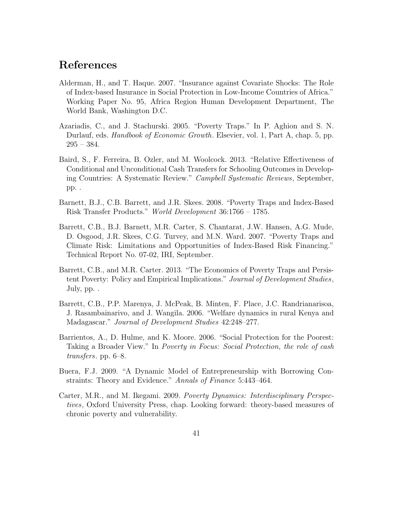# References

- Alderman, H., and T. Haque. 2007. "Insurance against Covariate Shocks: The Role of Index-based Insurance in Social Protection in Low-Income Countries of Africa." Working Paper No. 95, Africa Region Human Development Department, The World Bank, Washington D.C.
- Azariadis, C., and J. Stachurski. 2005. "Poverty Traps." In P. Aghion and S. N. Durlauf, eds. *Handbook of Economic Growth*. Elsevier, vol. 1, Part A, chap. 5, pp. 295 – 384.
- Baird, S., F. Ferreira, B. Ozler, and M. Woolcock. 2013. "Relative Effectiveness of Conditional and Unconditional Cash Transfers for Schooling Outcomes in Developing Countries: A Systematic Review." *Campbell Systematic Reviews*, September, pp. .
- Barnett, B.J., C.B. Barrett, and J.R. Skees. 2008. "Poverty Traps and Index-Based Risk Transfer Products." *World Development* 36:1766 – 1785.
- Barrett, C.B., B.J. Barnett, M.R. Carter, S. Chantarat, J.W. Hansen, A.G. Mude, D. Osgood, J.R. Skees, C.G. Turvey, and M.N. Ward. 2007. "Poverty Traps and Climate Risk: Limitations and Opportunities of Index-Based Risk Financing." Technical Report No. 07-02, IRI, September.
- Barrett, C.B., and M.R. Carter. 2013. "The Economics of Poverty Traps and Persistent Poverty: Policy and Empirical Implications." *Journal of Development Studies*, July, pp. .
- Barrett, C.B., P.P. Marenya, J. McPeak, B. Minten, F. Place, J.C. Randrianarisoa, J. Rasambainarivo, and J. Wangila. 2006. "Welfare dynamics in rural Kenya and Madagascar." *Journal of Development Studies* 42:248–277.
- Barrientos, A., D. Hulme, and K. Moore. 2006. "Social Protection for the Poorest: Taking a Broader View." In *Poverty in Focus: Social Protection, the role of cash transfers*. pp. 6–8.
- Buera, F.J. 2009. "A Dynamic Model of Entrepreneurship with Borrowing Constraints: Theory and Evidence." *Annals of Finance* 5:443–464.
- Carter, M.R., and M. Ikegami. 2009. *Poverty Dynamics: Interdisciplinary Perspectives*, Oxford University Press, chap. Looking forward: theory-based measures of chronic poverty and vulnerability.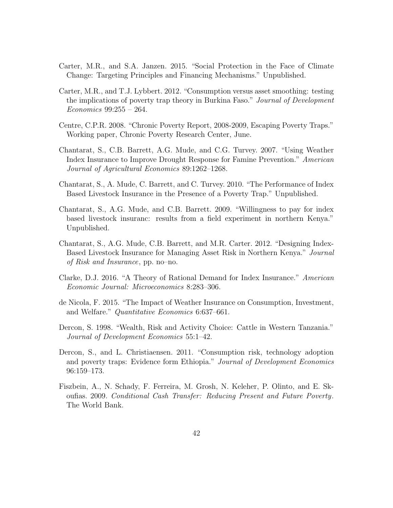- Carter, M.R., and S.A. Janzen. 2015. "Social Protection in the Face of Climate Change: Targeting Principles and Financing Mechanisms." Unpublished.
- Carter, M.R., and T.J. Lybbert. 2012. "Consumption versus asset smoothing: testing the implications of poverty trap theory in Burkina Faso." *Journal of Development Economics* 99:255 – 264.
- Centre, C.P.R. 2008. "Chronic Poverty Report, 2008-2009, Escaping Poverty Traps." Working paper, Chronic Poverty Research Center, June.
- Chantarat, S., C.B. Barrett, A.G. Mude, and C.G. Turvey. 2007. "Using Weather Index Insurance to Improve Drought Response for Famine Prevention." *American Journal of Agricultural Economics* 89:1262–1268.
- Chantarat, S., A. Mude, C. Barrett, and C. Turvey. 2010. "The Performance of Index Based Livestock Insurance in the Presence of a Poverty Trap." Unpublished.
- Chantarat, S., A.G. Mude, and C.B. Barrett. 2009. "Willingness to pay for index based livestock insuranc: results from a field experiment in northern Kenya." Unpublished.
- Chantarat, S., A.G. Mude, C.B. Barrett, and M.R. Carter. 2012. "Designing Index-Based Livestock Insurance for Managing Asset Risk in Northern Kenya." *Journal of Risk and Insurance*, pp. no–no.
- Clarke, D.J. 2016. "A Theory of Rational Demand for Index Insurance." *American Economic Journal: Microeconomics* 8:283–306.
- de Nicola, F. 2015. "The Impact of Weather Insurance on Consumption, Investment, and Welfare." *Quantitative Economics* 6:637–661.
- Dercon, S. 1998. "Wealth, Risk and Activity Choice: Cattle in Western Tanzania." *Journal of Development Economics* 55:1–42.
- Dercon, S., and L. Christiaensen. 2011. "Consumption risk, technology adoption and poverty traps: Evidence form Ethiopia." *Journal of Development Economics* 96:159–173.
- Fiszbein, A., N. Schady, F. Ferreira, M. Grosh, N. Keleher, P. Olinto, and E. Skoufias. 2009. *Conditional Cash Transfer: Reducing Present and Future Poverty*. The World Bank.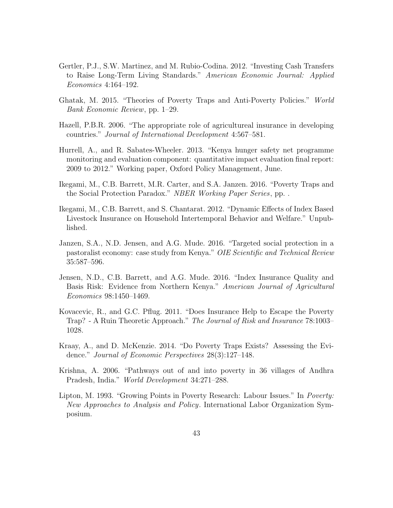- Gertler, P.J., S.W. Martinez, and M. Rubio-Codina. 2012. "Investing Cash Transfers to Raise Long-Term Living Standards." *American Economic Journal: Applied Economics* 4:164–192.
- Ghatak, M. 2015. "Theories of Poverty Traps and Anti-Poverty Policies." *World Bank Economic Review*, pp. 1–29.
- Hazell, P.B.R. 2006. "The appropriate role of agricultureal insurance in developing countries." *Journal of International Development* 4:567–581.
- Hurrell, A., and R. Sabates-Wheeler. 2013. "Kenya hunger safety net programme monitoring and evaluation component: quantitative impact evaluation final report: 2009 to 2012." Working paper, Oxford Policy Management, June.
- Ikegami, M., C.B. Barrett, M.R. Carter, and S.A. Janzen. 2016. "Poverty Traps and the Social Protection Paradox." *NBER Working Paper Series*, pp. .
- Ikegami, M., C.B. Barrett, and S. Chantarat. 2012. "Dynamic Effects of Index Based Livestock Insurance on Household Intertemporal Behavior and Welfare." Unpublished.
- Janzen, S.A., N.D. Jensen, and A.G. Mude. 2016. "Targeted social protection in a pastoralist economy: case study from Kenya." *OIE Scientific and Technical Review* 35:587–596.
- Jensen, N.D., C.B. Barrett, and A.G. Mude. 2016. "Index Insurance Quality and Basis Risk: Evidence from Northern Kenya." *American Journal of Agricultural Economics* 98:1450–1469.
- Kovacevic, R., and G.C. Pflug. 2011. "Does Insurance Help to Escape the Poverty Trap? - A Ruin Theoretic Approach." *The Journal of Risk and Insurance* 78:1003– 1028.
- Kraay, A., and D. McKenzie. 2014. "Do Poverty Traps Exists? Assessing the Evidence." *Journal of Economic Perspectives* 28(3):127–148.
- Krishna, A. 2006. "Pathways out of and into poverty in 36 villages of Andhra Pradesh, India." *World Development* 34:271–288.
- Lipton, M. 1993. "Growing Points in Poverty Research: Labour Issues." In *Poverty: New Approaches to Analysis and Policy*. International Labor Organization Symposium.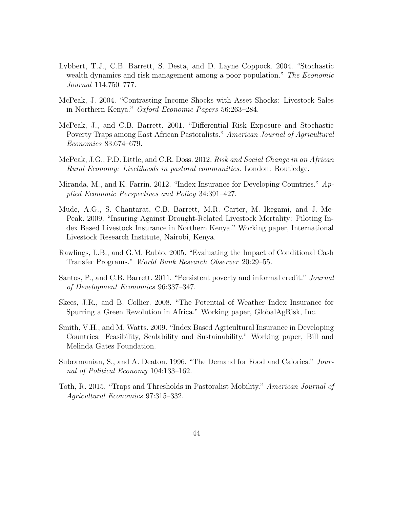- Lybbert, T.J., C.B. Barrett, S. Desta, and D. Layne Coppock. 2004. "Stochastic wealth dynamics and risk management among a poor population." *The Economic Journal* 114:750–777.
- McPeak, J. 2004. "Contrasting Income Shocks with Asset Shocks: Livestock Sales in Northern Kenya." *Oxford Economic Papers* 56:263–284.
- McPeak, J., and C.B. Barrett. 2001. "Differential Risk Exposure and Stochastic Poverty Traps among East African Pastoralists." *American Journal of Agricultural Economics* 83:674–679.
- McPeak, J.G., P.D. Little, and C.R. Doss. 2012. *Risk and Social Change in an African Rural Economy: Livelihoods in pastoral communities*. London: Routledge.
- Miranda, M., and K. Farrin. 2012. "Index Insurance for Developing Countries." *Applied Economic Perspectives and Policy* 34:391–427.
- Mude, A.G., S. Chantarat, C.B. Barrett, M.R. Carter, M. Ikegami, and J. Mc-Peak. 2009. "Insuring Against Drought-Related Livestock Mortality: Piloting Index Based Livestock Insurance in Northern Kenya." Working paper, International Livestock Research Institute, Nairobi, Kenya.
- Rawlings, L.B., and G.M. Rubio. 2005. "Evaluating the Impact of Conditional Cash Transfer Programs." *World Bank Research Observer* 20:29–55.
- Santos, P., and C.B. Barrett. 2011. "Persistent poverty and informal credit." *Journal of Development Economics* 96:337–347.
- Skees, J.R., and B. Collier. 2008. "The Potential of Weather Index Insurance for Spurring a Green Revolution in Africa." Working paper, GlobalAgRisk, Inc.
- Smith, V.H., and M. Watts. 2009. "Index Based Agricultural Insurance in Developing Countries: Feasibility, Scalability and Sustainability." Working paper, Bill and Melinda Gates Foundation.
- Subramanian, S., and A. Deaton. 1996. "The Demand for Food and Calories." *Journal of Political Economy* 104:133–162.
- Toth, R. 2015. "Traps and Thresholds in Pastoralist Mobility." *American Journal of Agricultural Economics* 97:315–332.